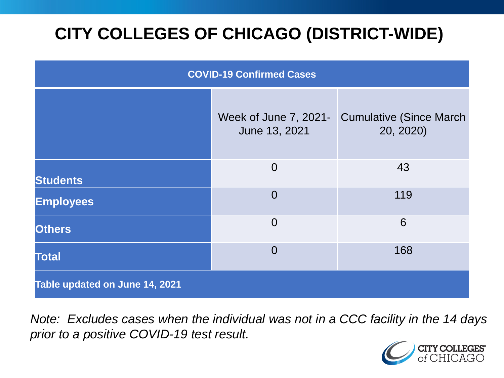# **CITY COLLEGES OF CHICAGO (DISTRICT-WIDE)**

| <b>COVID-19 Confirmed Cases</b> |                                        |                                              |
|---------------------------------|----------------------------------------|----------------------------------------------|
|                                 | Week of June 7, 2021-<br>June 13, 2021 | <b>Cumulative (Since March)</b><br>20, 2020) |
| <b>Students</b>                 | $\Omega$                               | 43                                           |
| <b>Employees</b>                | $\overline{0}$                         | 119                                          |
| <b>Others</b>                   | $\overline{0}$                         | 6                                            |
| <b>Total</b>                    | $\overline{0}$                         | 168                                          |
| Table updated on June 14, 2021  |                                        |                                              |

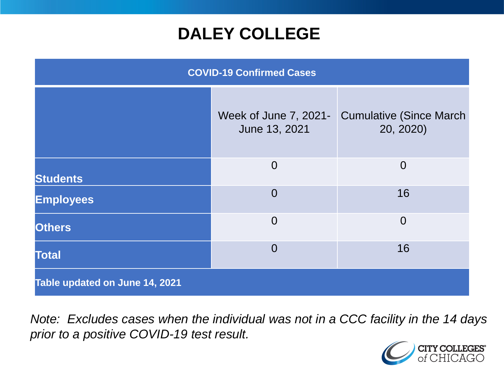### **DALEY COLLEGE**

| <b>COVID-19 Confirmed Cases</b> |                                        |                                              |
|---------------------------------|----------------------------------------|----------------------------------------------|
|                                 | Week of June 7, 2021-<br>June 13, 2021 | <b>Cumulative (Since March)</b><br>20, 2020) |
| <b>Students</b>                 | $\overline{0}$                         | $\overline{0}$                               |
| <b>Employees</b>                | $\overline{0}$                         | 16                                           |
| <b>Others</b>                   | $\overline{0}$                         | $\overline{0}$                               |
| <b>Total</b>                    | $\overline{0}$                         | 16                                           |
| Table updated on June 14, 2021  |                                        |                                              |

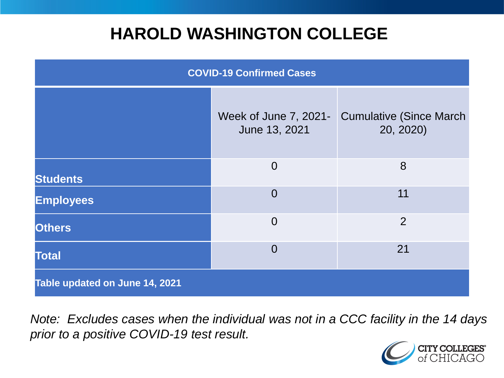### **HAROLD WASHINGTON COLLEGE**

| <b>COVID-19 Confirmed Cases</b> |                                        |                                              |
|---------------------------------|----------------------------------------|----------------------------------------------|
|                                 | Week of June 7, 2021-<br>June 13, 2021 | <b>Cumulative (Since March)</b><br>20, 2020) |
| <b>Students</b>                 | $\overline{0}$                         | 8                                            |
| <b>Employees</b>                | $\Omega$                               | 11                                           |
| <b>Others</b>                   | $\overline{0}$                         | $\overline{2}$                               |
| <b>Total</b>                    | $\Omega$                               | 21                                           |
| Table updated on June 14, 2021  |                                        |                                              |

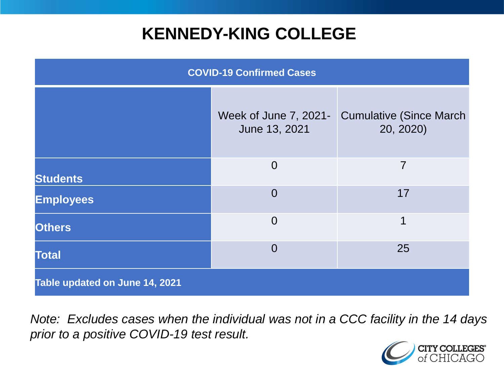## **KENNEDY-KING COLLEGE**

| <b>COVID-19 Confirmed Cases</b> |                                        |                                              |
|---------------------------------|----------------------------------------|----------------------------------------------|
|                                 | Week of June 7, 2021-<br>June 13, 2021 | <b>Cumulative (Since March)</b><br>20, 2020) |
| <b>Students</b>                 | $\overline{0}$                         | $\overline{7}$                               |
| <b>Employees</b>                | $\overline{0}$                         | 17                                           |
| <b>Others</b>                   | $\overline{0}$                         | 1                                            |
| <b>Total</b>                    | $\overline{0}$                         | 25                                           |
| Table updated on June 14, 2021  |                                        |                                              |

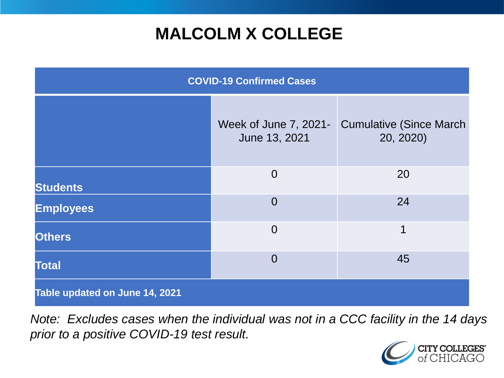## **MALCOLM X COLLEGE**

| <b>COVID-19 Confirmed Cases</b> |                                        |                                              |
|---------------------------------|----------------------------------------|----------------------------------------------|
|                                 | Week of June 7, 2021-<br>June 13, 2021 | <b>Cumulative (Since March)</b><br>20, 2020) |
| <b>Students</b>                 | $\overline{0}$                         | 20                                           |
| <b>Employees</b>                | $\overline{0}$                         | 24                                           |
| <b>Others</b>                   | $\overline{0}$                         | 1                                            |
| <b>Total</b>                    | $\overline{0}$                         | 45                                           |
| Table updated on June 14, 2021  |                                        |                                              |

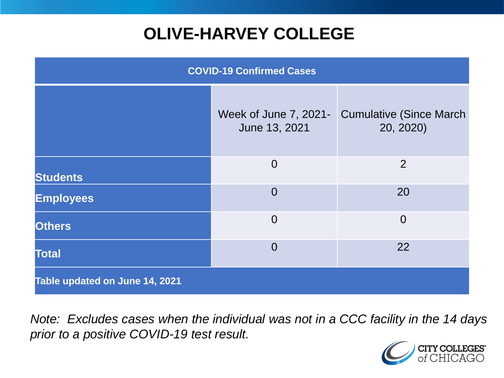# **OLIVE-HARVEY COLLEGE**

| <b>COVID-19 Confirmed Cases</b> |                                        |                                              |
|---------------------------------|----------------------------------------|----------------------------------------------|
|                                 | Week of June 7, 2021-<br>June 13, 2021 | <b>Cumulative (Since March)</b><br>20, 2020) |
| <b>Students</b>                 | $\overline{0}$                         | 2                                            |
| <b>Employees</b>                | $\overline{0}$                         | 20                                           |
| <b>Others</b>                   | $\overline{0}$                         | $\overline{0}$                               |
| <b>Total</b>                    | $\overline{0}$                         | 22                                           |
| Table updated on June 14, 2021  |                                        |                                              |

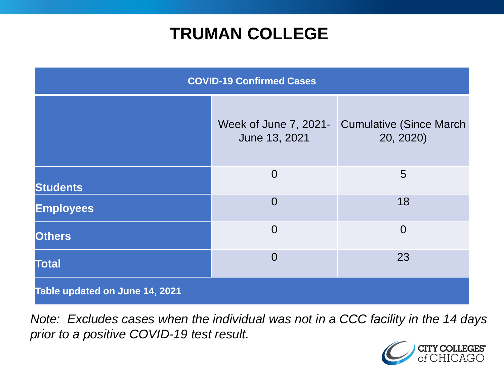### **TRUMAN COLLEGE**

| <b>COVID-19 Confirmed Cases</b> |                                        |                                              |
|---------------------------------|----------------------------------------|----------------------------------------------|
|                                 | Week of June 7, 2021-<br>June 13, 2021 | <b>Cumulative (Since March)</b><br>20, 2020) |
| <b>Students</b>                 | $\overline{0}$                         | 5                                            |
| <b>Employees</b>                | $\overline{0}$                         | 18                                           |
| <b>Others</b>                   | $\overline{0}$                         | $\overline{0}$                               |
| <b>Total</b>                    | $\overline{0}$                         | 23                                           |
| Table updated on June 14, 2021  |                                        |                                              |

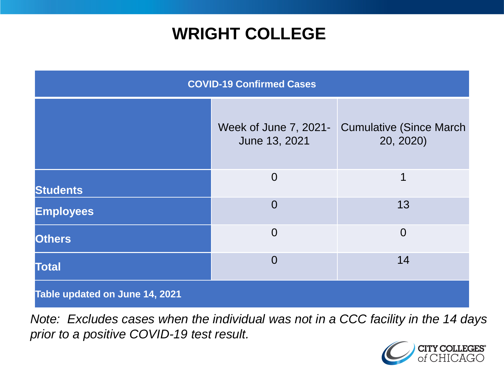### **WRIGHT COLLEGE**

| <b>COVID-19 Confirmed Cases</b> |                                        |                                              |
|---------------------------------|----------------------------------------|----------------------------------------------|
|                                 | Week of June 7, 2021-<br>June 13, 2021 | <b>Cumulative (Since March)</b><br>20, 2020) |
| <b>Students</b>                 | $\overline{0}$                         | 1                                            |
| <b>Employees</b>                | $\overline{0}$                         | 13                                           |
| <b>Others</b>                   | $\overline{0}$                         | $\overline{0}$                               |
| <b>Total</b>                    | $\Omega$                               | 14                                           |
| Table updated on June 14, 2021  |                                        |                                              |